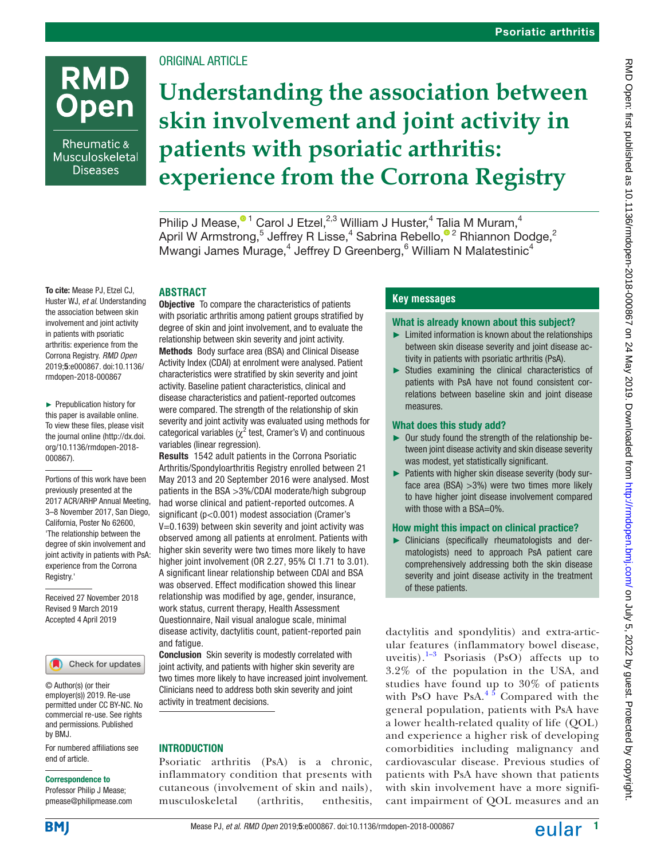# **RMD Open**

Rheumatic & Musculoskeletal **Diseases** 

### Original article

**Abstract**

## **Understanding the association between skin involvement and joint activity in patients with psoriatic arthritis: experience from the Corrona Registry**

Philip J Mease,<sup>®1</sup> Carol J Etzel,<sup>2,3</sup> William J Huster,<sup>4</sup> Talia M Muram,<sup>4</sup> April W Armstrong, $^5$  Jeffrey R Lisse, $^4$  Sabrina Rebello, $^{\circ}$ 2 Rhiannon Dodge, $^2$ Mwangi James Murage,<sup>4</sup> Jeffrey D Greenberg,<sup>6</sup> William N Malatestinic<sup>4</sup>

To cite: Mease PJ, Etzel CJ, Huster WJ, *et al*. Understanding the association between skin involvement and joint activity in patients with psoriatic arthritis: experience from the Corrona Registry. *RMD Open* 2019;5:e000867. doi:10.1136/ rmdopen-2018-000867

► Prepublication history for this paper is available online. To view these files, please visit the journal online ([http://dx.doi.](http://dx.doi.org/10.1136/rmdopen-2018-000867) [org/10.1136/rmdopen-2018-](http://dx.doi.org/10.1136/rmdopen-2018-000867) [000867](http://dx.doi.org/10.1136/rmdopen-2018-000867)).

Portions of this work have been previously presented at the 2017 ACR/ARHP Annual Meeting, 3–8 November 2017, San Diego, California, Poster No 62600, 'The relationship between the degree of skin involvement and joint activity in patients with PsA: experience from the Corrona Registry.

Received 27 November 2018 Revised 9 March 2019 Accepted 4 April 2019

#### Check for updates

© Author(s) (or their employer(s)) 2019. Re-use permitted under CC BY-NC. No commercial re-use. See rights and permissions. Published by BMJ.

For numbered affiliations see end of article.

#### Correspondence to

Professor Philip J Mease; pmease@philipmease.com

**Objective** To compare the characteristics of patients with psoriatic arthritis among patient groups stratified by degree of skin and joint involvement, and to evaluate the relationship between skin severity and joint activity. Methods Body surface area (BSA) and Clinical Disease Activity Index (CDAI) at enrolment were analysed. Patient characteristics were stratified by skin severity and joint activity. Baseline patient characteristics, clinical and disease characteristics and patient-reported outcomes were compared. The strength of the relationship of skin severity and joint activity was evaluated using methods for categorical variables ( $\chi^2$  test, Cramer's V) and continuous variables (linear regression).

Results 1542 adult patients in the Corrona Psoriatic Arthritis/Spondyloarthritis Registry enrolled between 21 May 2013 and 20 September 2016 were analysed. Most patients in the BSA >3%/CDAI moderate/high subgroup had worse clinical and patient-reported outcomes. A significant (p<0.001) modest association (Cramer's V=0.1639) between skin severity and joint activity was observed among all patients at enrolment. Patients with higher skin severity were two times more likely to have higher joint involvement (OR 2.27, 95% CI 1.71 to 3.01). A significant linear relationship between CDAI and BSA was observed. Effect modification showed this linear relationship was modified by age, gender, insurance, work status, current therapy, Health Assessment Questionnaire, Nail visual analogue scale, minimal disease activity, dactylitis count, patient-reported pain and fatigue.

Conclusion Skin severity is modestly correlated with joint activity, and patients with higher skin severity are two times more likely to have increased joint involvement. Clinicians need to address both skin severity and joint activity in treatment decisions.

#### **INTRODUCTION**

Psoriatic arthritis (PsA) is a chronic, inflammatory condition that presents with cutaneous (involvement of skin and nails), musculoskeletal (arthritis, enthesitis,

#### **Key messages**

#### What is already known about this subject?

- ► Limited information is known about the relationships between skin disease severity and joint disease activity in patients with psoriatic arthritis (PsA).
- ► Studies examining the clinical characteristics of patients with PsA have not found consistent correlations between baseline skin and joint disease measures.

#### What does this study add?

- ► Our study found the strength of the relationship between joint disease activity and skin disease severity was modest, yet statistically significant.
- ► Patients with higher skin disease severity (body surface area (BSA) >3%) were two times more likely to have higher joint disease involvement compared with those with a BSA=0%.

#### How might this impact on clinical practice?

► Clinicians (specifically rheumatologists and dermatologists) need to approach PsA patient care comprehensively addressing both the skin disease severity and joint disease activity in the treatment of these patients.

dactylitis and spondylitis) and extra-articular features (inflammatory bowel disease, uveitis).<sup>[1–3](#page-10-0)</sup> Psoriasis (PsO) affects up to 3.2% of the population in the USA, and studies have found up to 30% of patients with PsO have PsA. $45$  Compared with the general population, patients with PsA have a lower health-related quality of life (QOL) and experience a higher risk of developing comorbidities including malignancy and cardiovascular disease. Previous studies of patients with PsA have shown that patients with skin involvement have a more significant impairment of QOL measures and an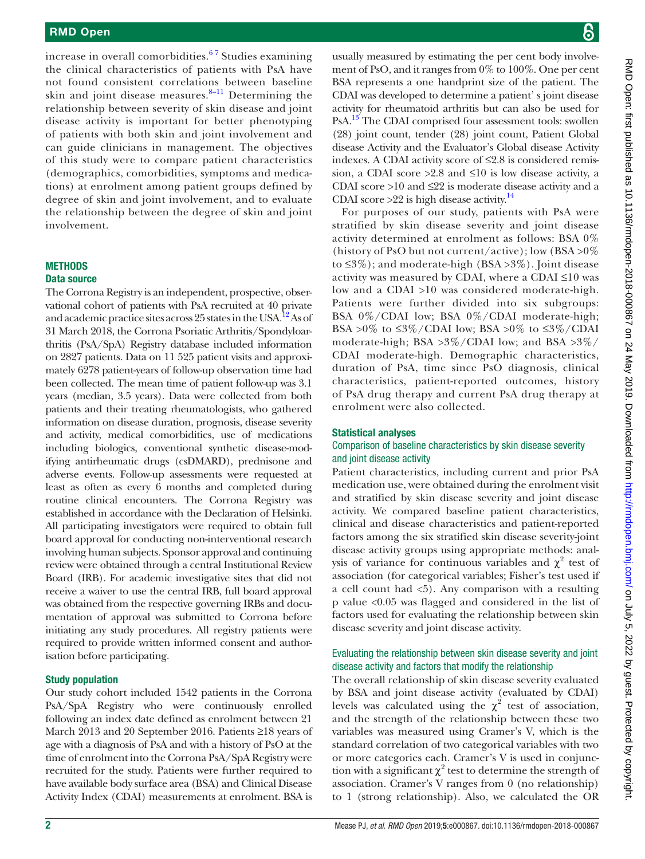increase in overall comorbidities. $67$  Studies examining the clinical characteristics of patients with PsA have not found consistent correlations between baseline skin and joint disease measures. $8-11$  Determining the relationship between severity of skin disease and joint disease activity is important for better phenotyping of patients with both skin and joint involvement and can guide clinicians in management. The objectives of this study were to compare patient characteristics (demographics, comorbidities, symptoms and medications) at enrolment among patient groups defined by degree of skin and joint involvement, and to evaluate the relationship between the degree of skin and joint involvement.

#### **METHODS** Data source

The Corrona Registry is an independent, prospective, observational cohort of patients with PsA recruited at 40 private and academic practice sites across 25 states in the USA.[12](#page-10-4) As of 31 March 2018, the Corrona Psoriatic Arthritis/Spondyloarthritis (PsA/SpA) Registry database included information on 2827 patients. Data on 11 525 patient visits and approximately 6278 patient-years of follow-up observation time had been collected. The mean time of patient follow-up was 3.1 years (median, 3.5 years). Data were collected from both patients and their treating rheumatologists, who gathered information on disease duration, prognosis, disease severity and activity, medical comorbidities, use of medications including biologics, conventional synthetic disease-modifying antirheumatic drugs (csDMARD), prednisone and adverse events. Follow-up assessments were requested at least as often as every 6 months and completed during routine clinical encounters. The Corrona Registry was established in accordance with the Declaration of Helsinki. All participating investigators were required to obtain full board approval for conducting non-interventional research involving human subjects. Sponsor approval and continuing review were obtained through a central Institutional Review Board (IRB). For academic investigative sites that did not receive a waiver to use the central IRB, full board approval was obtained from the respective governing IRBs and documentation of approval was submitted to Corrona before initiating any study procedures. All registry patients were required to provide written informed consent and authorisation before participating.

#### Study population

Our study cohort included 1542 patients in the Corrona PsA/SpA Registry who were continuously enrolled following an index date defined as enrolment between 21 March 2013 and 20 September 2016. Patients ≥18 years of age with a diagnosis of PsA and with a history of PsO at the time of enrolment into the Corrona PsA/SpA Registry were recruited for the study. Patients were further required to have available body surface area (BSA) and Clinical Disease Activity Index (CDAI) measurements at enrolment. BSA is

usually measured by estimating the per cent body involvement of PsO, and it ranges from 0% to 100%. One per cent BSA represents a one handprint size of the patient. The CDAI was developed to determine a patient' s joint disease activity for rheumatoid arthritis but can also be used for PsA.<sup>13</sup> The CDAI comprised four assessment tools: swollen (28) joint count, tender (28) joint count, Patient Global disease Activity and the Evaluator's Global disease Activity indexes. A CDAI activity score of ≤2.8 is considered remission, a CDAI score >2.8 and  $\leq 10$  is low disease activity, a CDAI score >10 and  $\leq$ 22 is moderate disease activity and a CDAI score  $>22$  is high disease activity.<sup>14</sup>

For purposes of our study, patients with PsA were stratified by skin disease severity and joint disease activity determined at enrolment as follows: BSA 0% (history of PsO but not current/active); low  $(BSA > 0\%)$ to  $\leq 3\%$ ); and moderate-high (BSA > 3%). Joint disease activity was measured by CDAI, where a CDAI  $\leq 10$  was low and a CDAI >10 was considered moderate-high. Patients were further divided into six subgroups: BSA 0%/CDAI low; BSA 0%/CDAI moderate-high; BSA >0% to  $\leq$ 3%/CDAI low; BSA >0% to  $\leq$ 3%/CDAI moderate-high; BSA >3%/CDAI low; and BSA >3%/ CDAI moderate-high. Demographic characteristics, duration of PsA, time since PsO diagnosis, clinical characteristics, patient-reported outcomes, history of PsA drug therapy and current PsA drug therapy at enrolment were also collected.

#### Statistical analyses

#### Comparison of baseline characteristics by skin disease severity and joint disease activity

Patient characteristics, including current and prior PsA medication use, were obtained during the enrolment visit and stratified by skin disease severity and joint disease activity. We compared baseline patient characteristics, clinical and disease characteristics and patient-reported factors among the six stratified skin disease severity-joint disease activity groups using appropriate methods: analysis of variance for continuous variables and  $\chi^2$  test of association (for categorical variables; Fisher's test used if a cell count had  $\langle 5 \rangle$ . Any comparison with a resulting p value <0.05 was flagged and considered in the list of factors used for evaluating the relationship between skin disease severity and joint disease activity.

#### Evaluating the relationship between skin disease severity and joint disease activity and factors that modify the relationship

The overall relationship of skin disease severity evaluated by BSA and joint disease activity (evaluated by CDAI) levels was calculated using the  $\chi^2$  test of association, and the strength of the relationship between these two variables was measured using Cramer's V, which is the standard correlation of two categorical variables with two or more categories each. Cramer's V is used in conjunction with a significant  $\chi^2$  test to determine the strength of association. Cramer's V ranges from 0 (no relationship) to 1 (strong relationship). Also, we calculated the OR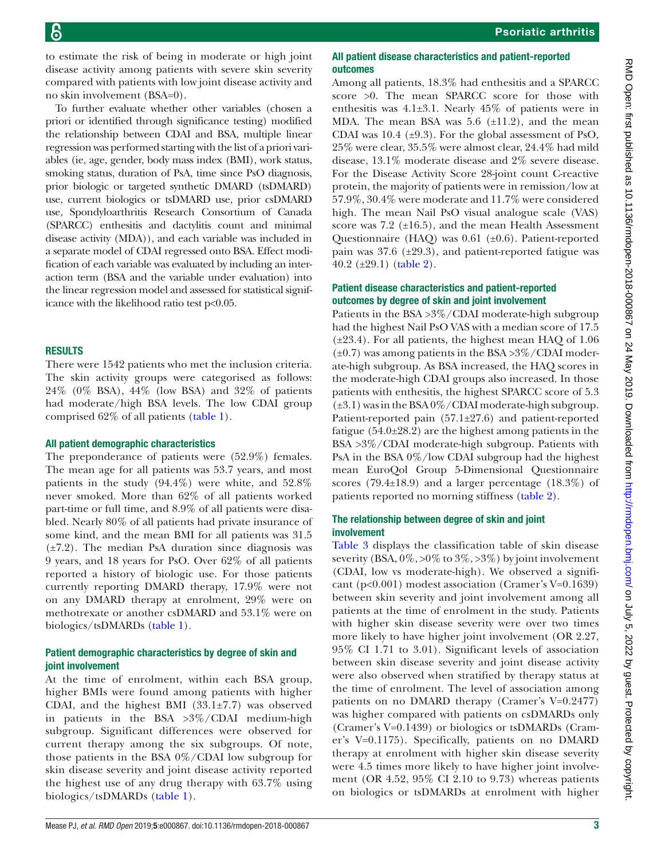to estimate the risk of being in moderate or high joint disease activity among patients with severe skin severity compared with patients with low joint disease activity and no skin involvement (BSA=0).

To further evaluate whether other variables (chosen a priori or identified through significance testing) modified the relationship between CDAI and BSA, multiple linear regression was performed starting with the list of a priori variables (ie, age, gender, body mass index (BMI), work status, smoking status, duration of PsA, time since PsO diagnosis, prior biologic or targeted synthetic DMARD (tsDMARD) use, current biologics or tsDMARD use, prior csDMARD use, Spondyloarthritis Research Consortium of Canada (SPARCC) enthesitis and dactylitis count and minimal disease activity (MDA)), and each variable was included in a separate model of CDAI regressed onto BSA. Effect modification of each variable was evaluated by including an interaction term (BSA and the variable under evaluation) into the linear regression model and assessed for statistical significance with the likelihood ratio test p<0.05.

#### **RESULTS**

There were 1542 patients who met the inclusion criteria. The skin activity groups were categorised as follows: 24% (0% BSA), 44% (low BSA) and 32% of patients had moderate/high BSA levels. The low CDAI group comprised 62% of all patients [\(table](#page-3-0) 1).

#### All patient demographic characteristics

The preponderance of patients were (52.9%) females. The mean age for all patients was 53.7 years, and most patients in the study  $(94.4\%)$  were white, and 52.8% never smoked. More than 62% of all patients worked part-time or full time, and 8.9% of all patients were disabled. Nearly 80% of all patients had private insurance of some kind, and the mean BMI for all patients was 31.5 (±7.2). The median PsA duration since diagnosis was 9 years, and 18 years for PsO. Over 62% of all patients reported a history of biologic use. For those patients currently reporting DMARD therapy, 17.9% were not on any DMARD therapy at enrolment, 29% were on methotrexate or another csDMARD and 53.1% were on biologics/tsDMARDs ([table](#page-3-0) 1).

#### Patient demographic characteristics by degree of skin and joint involvement

At the time of enrolment, within each BSA group, higher BMIs were found among patients with higher CDAI, and the highest BMI  $(33.1\pm7.7)$  was observed in patients in the BSA >3%/CDAI medium-high subgroup. Significant differences were observed for current therapy among the six subgroups. Of note, those patients in the BSA 0%/CDAI low subgroup for skin disease severity and joint disease activity reported the highest use of any drug therapy with 63.7% using biologics/tsDMARDs ([table](#page-3-0) 1).

#### All patient disease characteristics and patient-reported outcomes

Among all patients, 18.3% had enthesitis and a SPARCC score >0. The mean SPARCC score for those with enthesitis was 4.1±3.1. Nearly 45% of patients were in MDA. The mean BSA was  $5.6$  ( $\pm$ 11.2), and the mean CDAI was  $10.4$  ( $\pm 9.3$ ). For the global assessment of PsO, 25% were clear, 35.5% were almost clear, 24.4% had mild disease, 13.1% moderate disease and 2% severe disease. For the Disease Activity Score 28-joint count C-reactive protein, the majority of patients were in remission/low at 57.9%, 30.4% were moderate and 11.7% were considered high. The mean Nail PsO visual analogue scale (VAS) score was  $7.2$  ( $\pm$ 16.5), and the mean Health Assessment Questionnaire (HAQ) was 0.61 (±0.6). Patient-reported pain was  $37.6$  ( $\pm 29.3$ ), and patient-reported fatigue was 40.2 (±29.1) ([table](#page-5-0) 2).

#### Patient disease characteristics and patient-reported outcomes by degree of skin and joint involvement

Patients in the BSA >3%/CDAI moderate-high subgroup had the highest Nail PsO VAS with a median score of 17.5 (±23.4). For all patients, the highest mean HAQ of 1.06  $(\pm 0.7)$  was among patients in the BSA >3%/CDAI moderate-high subgroup. As BSA increased, the HAQ scores in the moderate-high CDAI groups also increased. In those patients with enthesitis, the highest SPARCC score of 5.3  $(\pm 3.1)$  was in the BSA 0%/CDAI moderate-high subgroup. Patient-reported pain (57.1±27.6) and patient-reported fatigue  $(54.0\pm 28.2)$  are the highest among patients in the BSA >3%/CDAI moderate-high subgroup. Patients with PsA in the BSA 0%/low CDAI subgroup had the highest mean EuroQol Group 5-Dimensional Questionnaire scores (79.4 $\pm$ 18.9) and a larger percentage (18.3%) of patients reported no morning stiffness [\(table](#page-5-0) 2).

#### The relationship between degree of skin and joint involvement

[Table](#page-8-0) 3 displays the classification table of skin disease severity (BSA, 0%, >0% to 3%, >3%) by joint involvement (CDAI, low vs moderate-high). We observed a significant (p<0.001) modest association (Cramer's V=0.1639) between skin severity and joint involvement among all patients at the time of enrolment in the study. Patients with higher skin disease severity were over two times more likely to have higher joint involvement (OR 2.27, 95% CI 1.71 to 3.01). Significant levels of association between skin disease severity and joint disease activity were also observed when stratified by therapy status at the time of enrolment. The level of association among patients on no DMARD therapy (Cramer's V=0.2477) was higher compared with patients on csDMARDs only (Cramer's V=0.1439) or biologics or tsDMARDs (Cramer's V=0.1175). Specifically, patients on no DMARD therapy at enrolment with higher skin disease severity were 4.5 times more likely to have higher joint involvement (OR 4.52, 95% CI 2.10 to 9.73) whereas patients on biologics or tsDMARDs at enrolment with higher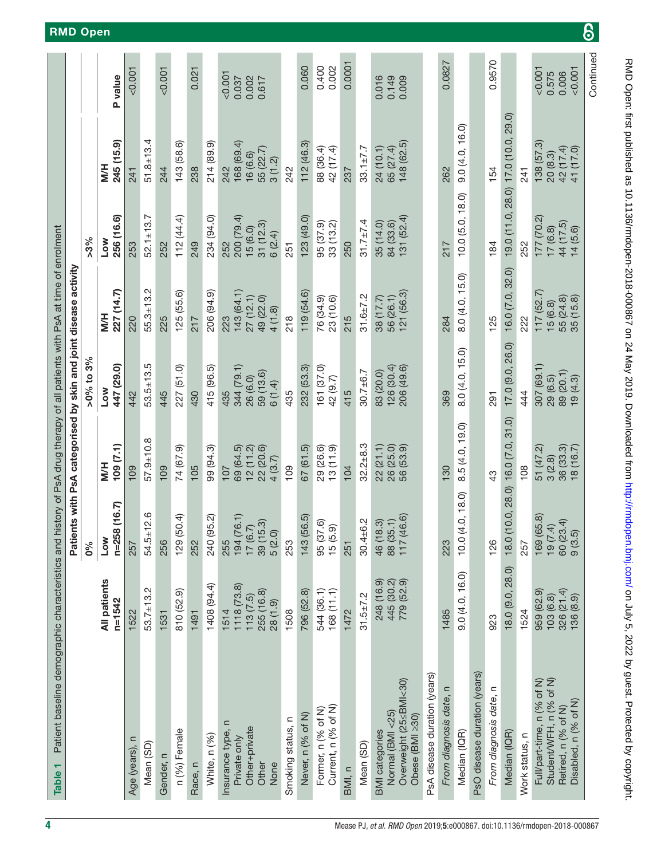<span id="page-3-0"></span>

| Patient baseline demographic characteristics and history of PsA drug therapy of all patients with PsA at time of enrolment<br>Table <sub>1</sub> |                                                          |                                                                 |                                                             |                                                      |                                                     |                                                    |                                                     |                                  |
|--------------------------------------------------------------------------------------------------------------------------------------------------|----------------------------------------------------------|-----------------------------------------------------------------|-------------------------------------------------------------|------------------------------------------------------|-----------------------------------------------------|----------------------------------------------------|-----------------------------------------------------|----------------------------------|
|                                                                                                                                                  |                                                          | Patien                                                          | nts with PsA categorised by skin and joint disease activity |                                                      |                                                     |                                                    |                                                     |                                  |
|                                                                                                                                                  |                                                          | 0%                                                              |                                                             | $>0\%$ to 3%                                         |                                                     | $>3\%$                                             |                                                     |                                  |
|                                                                                                                                                  | All patients<br>$n = 1542$                               | (16.7)<br>$n = 258$<br>Low                                      | 109(7.1)<br>H/M                                             | 447 (29.0)<br><b>Low</b>                             | 227 (14.7)<br>H/M                                   | 256 (16.6)<br>Low                                  | 245 (15.9)<br>H/M                                   | P value                          |
| Age (years), n                                                                                                                                   | 1522                                                     | 257                                                             | 109                                                         | 442                                                  | 220                                                 | 253                                                | 241                                                 | 0.007                            |
| Mean (SD)                                                                                                                                        | $53.7 \pm 13.2$                                          | 2.6<br>$54.5 \pm 1$                                             | $57.9 \pm 10.8$                                             | $53.5 \pm 13.5$                                      | $55.3 \pm 13.2$                                     | $52.1 \pm 13.7$                                    | $51.8 + 13.4$                                       |                                  |
| Gender, n                                                                                                                                        | 1531                                                     | 256                                                             | 109                                                         | 445                                                  | 225                                                 | 252                                                | 244                                                 | 0.007                            |
| n (%) Female                                                                                                                                     | 810 (52.9)                                               | 0.4)<br>129 (5)                                                 | 74 (67.9)                                                   | 227 (51.0)                                           | 125(55.6)                                           | 112(44.4)                                          | 143 (58.6)                                          |                                  |
| Race, n                                                                                                                                          | 1491                                                     | 252                                                             | 105                                                         | 430                                                  | 217                                                 | 249                                                | 238                                                 | 0.021                            |
| White, n (%)                                                                                                                                     | 1408 (94.4)                                              | 5.2)<br>240 (95                                                 | 99 (94.3)                                                   | 415 (96.5)                                           | 206 (94.9)                                          | 234 (94.0)                                         | 214 (89.9)                                          |                                  |
| Insurance type, n<br>Other+private<br>Private only<br>Other<br>None                                                                              | 1118 (73.8)<br>255 (16.8)<br>113(7.5)<br>28(1.9)<br>1514 | $194(76.1)$<br>$17(6.7)$<br>$39(15.3)$<br>5(2.0)<br>255         | 22 (20.6)<br>69 (64.5)<br>12(11.2)<br>4(3.7)<br>107         | 344 (79.1)<br>59 (13.6)<br>26 (6.0)<br>6(1.4)<br>435 | 143(64.1)<br>27(12.1)<br>49 (22.0)<br>4(1.8)<br>223 | 200 (79.4)<br>31(12.3)<br>15(6.0)<br>6(2.4)<br>252 | 168 (69.4)<br>55 (22.7)<br>16(6.6)<br>3(1.2)<br>242 | 0.001<br>0.037<br>0.002<br>0.617 |
| Smoking status, n                                                                                                                                | 1508                                                     | 253                                                             | 109                                                         | 435                                                  | 218                                                 | 251                                                | 242                                                 |                                  |
| Never, n (% of N)                                                                                                                                | 796 (52.8)                                               | 143 (56.5)                                                      | 67(61.5)                                                    | 232 (53.3)                                           | 119 (54.6)                                          | 123 (49.0)                                         | 112(46.3)                                           | 0.060                            |
| Current, n (% of N)<br>Former, n (% of N)                                                                                                        | 544 (36.1)<br>168(11.1)                                  | 95 (37.6)<br>15 (5.9)                                           | 29 (26.6)<br>13 (11.9)                                      | 161 (37.0)<br>42 (9.7)                               | 76 (34.9)<br>23 (10.6)                              | 95 (37.9)<br>33 (13.2)                             | 88 (36.4)<br>42 (17.4)                              | 0.400<br>0.002                   |
| BMI, n                                                                                                                                           | 1472                                                     | 251                                                             | 104                                                         | 415                                                  | 215                                                 | 250                                                | 237                                                 | 0.0001                           |
| Mean (SD)                                                                                                                                        | $31.5 \pm 7.2$                                           | $30.4 + 6.2$                                                    | $32.2 + 8.3$                                                | $30.7 + 6.7$                                         | $31.6 + 7.2$                                        | $31.7 \pm 7.4$                                     | $33.1 + 7.7$                                        |                                  |
| Overweight (25 <bmi<30)<br>Normal (BMI &lt;25)<br/>Obese (BMI ≥30)<br/><b>BMI</b> categories</bmi<30)<br>                                        | 445 (30.2)<br>779 (52.9)<br>248 (16.9)                   | 46 (18.3)<br>88 (35.1)<br>117 (46.6)                            | 26 (25.0)<br>22(21.1)<br>56 (53.9)                          | 126 (30.4)<br>206 (49.6)<br>83 (20.0)                | 121 (56.3)<br>56 (26.1)<br>38 (17.7)                | 131(52.4)<br>84 (33.6)<br>35 (14.0)                | 148(62.5)<br>65 (27.4)<br>24 (10.1)                 | 0.016<br>0.149<br>0.009          |
| PsA disease duration (years)                                                                                                                     |                                                          |                                                                 |                                                             |                                                      |                                                     |                                                    |                                                     |                                  |
| From diagnosis date, n                                                                                                                           | 1485                                                     | 223                                                             | 30                                                          | 369                                                  | 284                                                 | 217                                                | 262                                                 | 0.0827                           |
| Median (IQR)                                                                                                                                     | 9.0(4.0, 16.0)                                           | 10.0(4.0, 18.0)                                                 | 8.5(4.0, 19.0)                                              | 8.0(4.0, 15.0)                                       | 8.0 (4.0, 15.0)                                     | $10.0$ $(5.0, 18.0)$                               | 9.0(4.0, 16.0)                                      |                                  |
| PsO disease duration (years)                                                                                                                     |                                                          |                                                                 |                                                             |                                                      |                                                     |                                                    |                                                     |                                  |
| From diagnosis date, n                                                                                                                           | 923                                                      | 126                                                             | $\frac{3}{4}$                                               | 291                                                  | 125                                                 | 184                                                | 154                                                 | 0.9570                           |
| Median (IQR)                                                                                                                                     | 18.0 (9.0, 28.0)                                         | 18.0 (10.0, 28.0)                                               | 16.0(7.0, 31.0)                                             | 17.0 (9.0, 26.0)                                     | 16.0 (7.0, 32.0)                                    |                                                    | 19.0 (11.0, 28.0) 17.0 (10.0, 29.0)                 |                                  |
| Work status, n                                                                                                                                   | 1524                                                     | 257                                                             | 108                                                         | 444                                                  | 222                                                 | 252                                                | 241                                                 |                                  |
| Student/WFH, n (% of N)<br>Full/part-time, n (% of N)<br>Disabled, n (% of N)<br>Retired, n (% of N)                                             | 326 (21.4)<br>959 (62.9)<br>103(6.8)<br>136(8.9)         | $169(65.8)$<br>$19(7.4)$<br>$\overline{4}$<br>60 (23.<br>9(3.5) | 36 (33.3)<br>18 (16.7)<br>51 (47.2)<br>3(2.8)               | 307 (69.1)<br>89 (20.1)<br>29(6.5)<br>19(4.3)        | 117(52.7)<br>$15(6.8)$<br>$55(24.8)$<br>$35(15.8)$  | 177 (70.2)<br>$17(6.8)$<br>$44(17.5)$<br>14(5.6)   | 138 (57.3)<br>42 (17.4)<br>41 (17.0)<br>20(8.3)     | 0.001<br>0.001<br>0.006<br>0.575 |
|                                                                                                                                                  |                                                          |                                                                 |                                                             |                                                      |                                                     |                                                    |                                                     | Continued                        |

 $\overline{6}$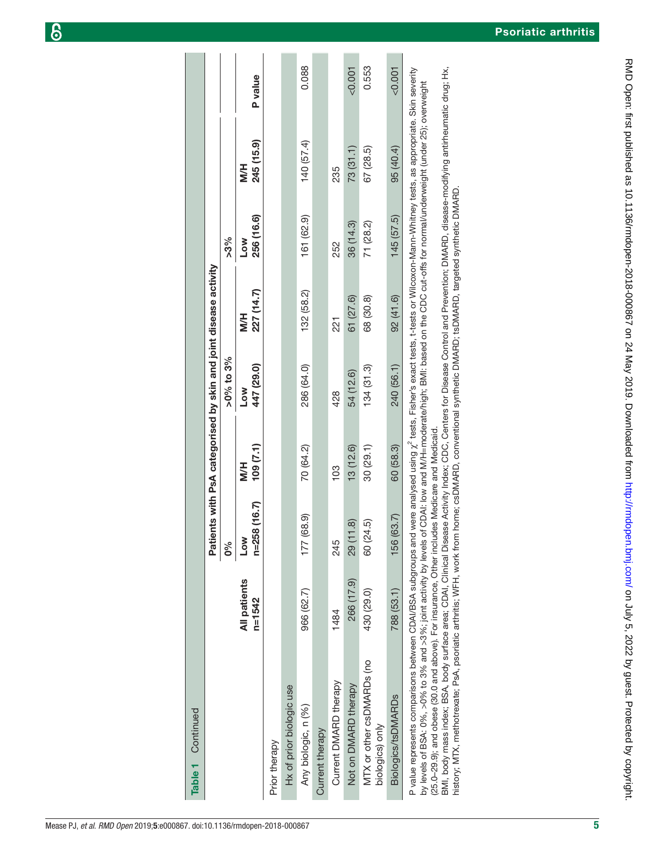| Table 1 Continued                                                                                                                                                                                                                                                                                                                                                                                                                                                                                                                                                                                                                                                                  |                                   |                            |                  |                                                                  |                        |                          |                                                                                                               |                |
|------------------------------------------------------------------------------------------------------------------------------------------------------------------------------------------------------------------------------------------------------------------------------------------------------------------------------------------------------------------------------------------------------------------------------------------------------------------------------------------------------------------------------------------------------------------------------------------------------------------------------------------------------------------------------------|-----------------------------------|----------------------------|------------------|------------------------------------------------------------------|------------------------|--------------------------|---------------------------------------------------------------------------------------------------------------|----------------|
|                                                                                                                                                                                                                                                                                                                                                                                                                                                                                                                                                                                                                                                                                    |                                   |                            |                  | Patients with PsA categorised by skin and joint disease activity |                        |                          |                                                                                                               |                |
|                                                                                                                                                                                                                                                                                                                                                                                                                                                                                                                                                                                                                                                                                    |                                   | စိ%                        |                  | $>0\%$ to 3%                                                     |                        | $>3\%$                   |                                                                                                               |                |
|                                                                                                                                                                                                                                                                                                                                                                                                                                                                                                                                                                                                                                                                                    | <b>All patients</b><br>$n = 1542$ | n=258 (16.7)<br><b>No7</b> | 109 (7.1)<br>H/H | 447 (29.0)<br><b>Low</b>                                         | 227 (14.7)<br>H/N<br>N | 256 (16.6)<br><b>NOT</b> | 245 (15.9)<br>H/N                                                                                             | <b>P</b> value |
| Prior therapy                                                                                                                                                                                                                                                                                                                                                                                                                                                                                                                                                                                                                                                                      |                                   |                            |                  |                                                                  |                        |                          |                                                                                                               |                |
| Hx of prior biologic use                                                                                                                                                                                                                                                                                                                                                                                                                                                                                                                                                                                                                                                           |                                   |                            |                  |                                                                  |                        |                          |                                                                                                               |                |
| Any biologic, n (%)                                                                                                                                                                                                                                                                                                                                                                                                                                                                                                                                                                                                                                                                | 966 (62.7)                        | 177 (68.9)                 | 70 (64.2)        | 286 (64.0)                                                       | 132 (58.2)             | 161 (62.9)               | 140 (57.4)                                                                                                    | 0.088          |
| Current therapy                                                                                                                                                                                                                                                                                                                                                                                                                                                                                                                                                                                                                                                                    |                                   |                            |                  |                                                                  |                        |                          |                                                                                                               |                |
| Current DMARD therapy                                                                                                                                                                                                                                                                                                                                                                                                                                                                                                                                                                                                                                                              | 1484                              | 245                        | 103              | 428                                                              | 221                    | 252                      | 235                                                                                                           |                |
| Not on DMARD therapy                                                                                                                                                                                                                                                                                                                                                                                                                                                                                                                                                                                                                                                               | 266 (17.9)                        | 29(11.8)                   | 13(12.6)         | 54 (12.6)                                                        | 61 (27.6)              | 36 (14.3)                | 73(31.1)                                                                                                      | &0.001         |
| MTX or other csDMARDs (no<br>biologics) only                                                                                                                                                                                                                                                                                                                                                                                                                                                                                                                                                                                                                                       | 430 (29.0)                        | 60 (24.5)                  | 30(29.1)         | 134(31.3)                                                        | 68 (30.8)              | 71 (28.2)                | 67 (28.5)                                                                                                     | 0.553          |
| Biologics/tsDMARDs                                                                                                                                                                                                                                                                                                                                                                                                                                                                                                                                                                                                                                                                 | 788 (53.1)                        | 156 (63.7)                 | 60 (58.3)        | 240 (56.1)                                                       | 92(41.6)               | 145(57.5)                | 95 (40.4)                                                                                                     | &0.001         |
| BMI, body mass index; BSA, body surface area; CDAI, Clinical Disease Activity Index; CDC, Centers for Disease Control and Prevention; DMARD, disease-modifying antirheumatic drug; Hx,<br>P value represents comparisons between CDA//BSA subgroups and were analysed using $\chi^2$ tests, Fisher's exact tests, t-tests or Wilcoxon-Mann-Whitney tests, as appropriate. Skin severity<br>kintown MTV mothodroiden DAA mooride die die die die de moore on onder die op die die die die die die die die d<br>(25.0–29.9); and obese (30.0 and above). For insurance, Other includes Medicare and Medicaid<br>by levels of BSA: 0%, >0% to 3% and >3%; joint activity by levels of |                                   |                            |                  |                                                                  |                        |                          | CDAI: low and M/H=moderate/high; BMI: based on the CDC cut-offs for normal/underweight (under 25); overweight |                |

DMARD; tsDMARD, targeted synthetic DMARD. history; MTX, methotrexate; PsA, psoriatic arthritis; WFH, work from home; csDMARD, conventional synthetic DMARD; tsDMARD, targeted synthetic DMARD. work from home; csDMARD, conventional synthetic i<br>NHi thritis; ಕ್ಷ SA, psoriatic history; MTX, methotrexate; P

န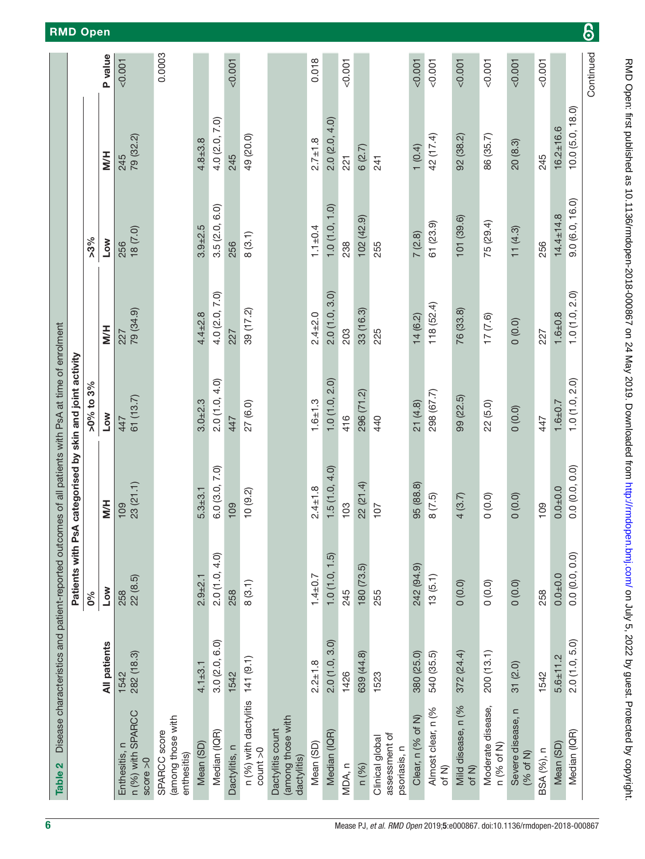<span id="page-5-0"></span>

| Table 2                                              |                    |                |                 | Disease characteristics and patient-reported outcomes of all patients with PsA at time of enrolment |                  |                 |                  |           |
|------------------------------------------------------|--------------------|----------------|-----------------|-----------------------------------------------------------------------------------------------------|------------------|-----------------|------------------|-----------|
|                                                      |                    |                |                 | Patients with PsA categorised by skin and joint activity                                            |                  |                 |                  |           |
|                                                      |                    | 0%             |                 | $>0\%$ to 3%                                                                                        |                  | $>3\%$          |                  |           |
|                                                      | All patients       | Low            | H/M             | Low                                                                                                 | H/M              | <b>No7</b>      | HW               | P value   |
| n (%) with SPARCC<br>Enthesitis, n<br>score $>0$     | 282 (18.3)<br>1542 | 22(8.5)<br>258 | 23(21.1)<br>109 | 61(13.7)<br>447                                                                                     | 79 (34.9)<br>227 | 18 (7.0)<br>256 | 245<br>79 (32.2) | < 0.001   |
| (among those with<br>SPARCC score<br>enthesitis)     |                    |                |                 |                                                                                                     |                  |                 |                  | 0.0003    |
| Mean (SD)                                            | $4.1 + 3.1$        | $2.9 + 2.1$    | $5.3 + 3.1$     | $3.0 + 2.3$                                                                                         | $4.4 + 2.8$      | $3.9 + 2.5$     | $4.8 + 3.8$      |           |
| Median (IQR)                                         | 3.0(2.0, 6.0)      | 2.0(1.0, 4.0)  | 6.0 (3.0, 7.0)  | 2.0 (1.0, 4.0)                                                                                      | 4.0 (2.0, 7.0)   | 3.5(2.0, 6.0)   | 4.0 (2.0, 7.0)   |           |
| Dactylitis, n                                        | 1542               | 258            | 109             | 447                                                                                                 | 227              | 256             | 245              | < 0.001   |
| n (%) with dactylitis<br>count > 0                   | 141(9.1)           | 8(3.1)         | 10(9.2)         | 27 (6.0)                                                                                            | 39 (17.2)        | 8(3.1)          | 49 (20.0)        |           |
| (among those with<br>Dactylitis count<br>dactylitis) |                    |                |                 |                                                                                                     |                  |                 |                  |           |
| Mean (SD)                                            | $2.2 \pm 1.8$      | $1.4 + 0.7$    | $2.4 \pm 1.8$   | $1.6 + 1.3$                                                                                         | $2.4 + 2.0$      | $1.1 + 0.4$     | $2.7 \pm 1.8$    | 0.018     |
| Median (IQR)                                         | 2.0(1.0, 3.0)      | 1.0(1.0, 1.5)  | 1.5(1.0, 4.0)   | 1.0(1.0, 2.0)                                                                                       | 2.0(1.0, 3.0)    | 1.0(1.0, 1.0)   | 2.0(2.0, 4.0)    |           |
| MDA, n                                               | 1426               | 245            | 103             | 416                                                                                                 | 203              | 238             | 221              | 0.001     |
| n (%)                                                | 639 (44.8)         | 180 (73.5)     | 22 (21.4)       | 296 (71.2)                                                                                          | 33 (16.3)        | 102(42.9)       | 6(2.7)           |           |
| assessment of<br>Clinical global<br>psoriasis, n     | 1523               | 255            | 107             | 440                                                                                                 | 225              | 255             | 241              |           |
| Clear, n (% of N)                                    | 380 (25.0)         | 242 (94.9)     | 95 (88.8)       | 21(4.8)                                                                                             | 14(6.2)          | 7(2.8)          | 1(0.4)           | < 0.001   |
| Almost clear, n (%<br>of N)                          | 540 (35.5)         | 13(5.1)        | 8(7.5)          | 298 (67.7)                                                                                          | 118(52.4)        | 61 (23.9)       | 42 (17.4)        | < 0.001   |
| Mild disease, n (%<br>of N)                          | 372 (24.4)         | 0(0.0)         | 4(3.7)          | 99 (22.5)                                                                                           | 76 (33.8)        | 101(39.6)       | 92 (38.2)        | 0.001     |
| Moderate disease,<br>n (% of N)                      | 200(13.1)          | 0(0.0)         | 0(0.0)          | 22 (5.0)                                                                                            | 17(7.6)          | 75 (29.4)       | 86 (35.7)        | < 0.001   |
| Severe disease, n<br>(% of N)                        | 31(2.0)            | 0(0.0)         | 0(0.0)          | 0(0.0)                                                                                              | (0.0)0           | 11(4.3)         | 20(8.3)          | 0.001     |
| BSA (%), n                                           | 1542               | 258            | 109             | 447                                                                                                 | 227              | 256             | 245              | < 0.001   |
| Mean (SD)                                            | $5.6 + 11.2$       | $0.0 + 0.0$    | $0.0 + 0.0$     | $1.6 + 0.7$                                                                                         | $1.6 + 0.8$      | $14.4 \pm 14.8$ | $16.2 \pm 16.6$  |           |
| Median (IQR)                                         | 2.0(1.0, 5.0)      | 0.0(0.0, 0.0)  | 0.0(0.0, 0.0)   | 1.0(1.0, 2.0)                                                                                       | 1.0(1.0, 2.0)    | 9.0(6.0, 16.0)  | 10.0 (5.0, 18.0) |           |
|                                                      |                    |                |                 |                                                                                                     |                  |                 |                  | Continued |

 $\overline{6}$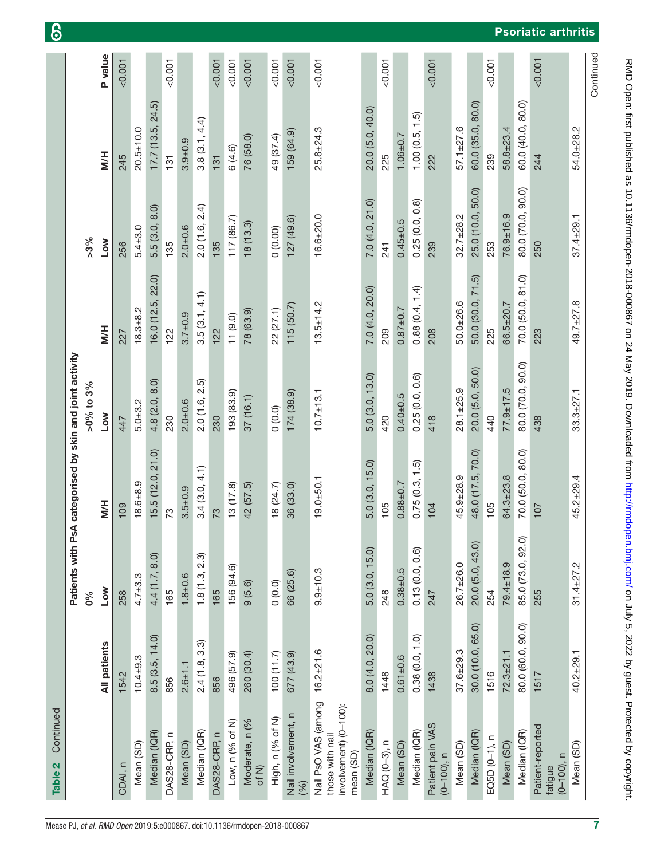| Continued<br>Table 2                                                         |                   |                   |                                          |                   |                   |                   |                   |                |
|------------------------------------------------------------------------------|-------------------|-------------------|------------------------------------------|-------------------|-------------------|-------------------|-------------------|----------------|
|                                                                              |                   | Patients with Ps/ | A categorised by skin and joint activity |                   |                   |                   |                   |                |
|                                                                              |                   | $0\%$             |                                          | $>0\%$ to 3%      |                   | $>3\%$            |                   |                |
|                                                                              | All patients      | Low               | H/M                                      | <b>No7</b>        | H/N               | <b>No7</b>        | HW                | <b>P</b> value |
| CDAI, n                                                                      | 1542              | 258               | 109                                      | 447               | 227               | 256               | 245               | < 0.001        |
| Mean (SD)                                                                    | $10.4 + 9.3$      | $4.7 + 3.3$       | $18.6 + 8.9$                             | $5.0 + 3.2$       | $18.3 + 8.2$      | $5.4 + 3.0$       | $20.5 + 10.0$     |                |
| Median (IQR)                                                                 | 8.5(3.5, 14.0)    | 4.4(1.7, 8.0)     | 15.5(12.0, 21.0)                         | 4.8 (2.0, 8.0)    | 16.0 (12.5, 22.0) | 5.5(3.0, 8.0)     | 17.7(13.5, 24.5)  |                |
| DAS28-CRP, n                                                                 | 856               | 165               | 73                                       | 230               | 122               | 135               | 131               | 0.001          |
| Mean (SD)                                                                    | $2.6 + 1.1$       | $1.8 + 0.6$       | $3.5 + 0.9$                              | $2.0 + 0.6$       | $3.7 + 0.9$       | $2.0 + 0.6$       | $3.9 + 0.9$       |                |
| Median (IQR)                                                                 | 2.4(1.8, 3.3)     | 1.8(1.3, 2.3)     | 3.4(3.0, 4.1)                            | 2.0(1.6, 2.5)     | 3.5(3.1, 4.1)     | 2.0(1.6, 2.4)     | 3.8(3.1, 4.4)     |                |
| DAS28-CRP, n                                                                 | 856               | 165               | 73                                       | 230               | 122               | 135               | 131               | 0.001          |
| Low, n (% of N)                                                              | 496 (57.9)        | 156 (94.6)        | 13(17.8)                                 | 193 (83.9)        | 11(9.0)           | 117(86.7)         | 6(4.6)            | 0.001          |
| Moderate, n (%<br>of N)                                                      | 260 (30.4)        | 9(5.6)            | 42 (57.5)                                | 37(16.1)          | 78 (63.9)         | 18(13.3)          | 76 (58.0)         | 0.001          |
| High, n (% of N)                                                             | 100(11.7)         | 0(0.0)            | 18 (24.7)                                | (0.0)0            | 22 (27.1)         | 0(0.00)           | 49 (37.4)         | 0.001          |
| Nail involvement, n<br>(96)                                                  | 677 (43.9)        | 66 (25.6)         | 36 (33.0)                                | 174 (38.9)        | 115(50.7)         | 127(49.6)         | 159 (64.9)        | < 0.001        |
| Nail PsO VAS (among<br>involvement) (0-100):<br>those with nail<br>mean (SD) | $16.2 + 21.6$     | $9.9 + 10.3$      | $19.0 + 50.1$                            | $10.7 + 13.1$     | $13.5 + 14.2$     | $16.6 + 20.0$     | $25.8 + 24.3$     | < 0.001        |
| Median (IQR)                                                                 | 8.0 (4.0, 20.0)   | 5.0(3.0, 15.0)    | 5.0(3.0, 15.0)                           | 5.0(3.0, 13.0)    | 7.0(4.0, 20.0)    | 7.0(4.0, 21.0)    | 20.0 (5.0, 40.0)  |                |
| HAQ (0-3), n                                                                 | 1448              | 248               | 105                                      | 420               | 209               | 241               | 225               | 0.001          |
| Mean (SD)                                                                    | $0.61 + 0.6$      | $0.38 + 0.5$      | $0.88 + 0.7$                             | $0.40 + 0.5$      | $0.87 + 0.7$      | $0.45 + 0.5$      | $1.06 + 0.7$      |                |
| Median (IQR)                                                                 | 0.38(0.0, 1.0)    | 0.13(0.0, 0.6)    | 0.75(0.3, 1.5)                           | 0.25(0.0, 0.6)    | 0.88(0.4, 1.4)    | 0.25(0.0, 0.8)    | 1.00(0.5, 1.5)    |                |
| Patient pain VAS<br>$(0-100)$ , n                                            | 1438              | 247               | 104                                      | 418               | 208               | 239               | 222               | < 0.001        |
| Mean (SD)                                                                    | $37.6 + 29.3$     | $26.7 + 26.0$     | $45.9 + 28.9$                            | $28.1 + 25.9$     | 50.0±26.6         | $32.7 + 28.2$     | $57.1 + 27.6$     |                |
| Median (IQR)                                                                 | 30.0 (10.0, 65.0) | 20.0 (5.0, 43.0)  | 48.0 (17.5, 70.0)                        | 20.0 (5.0, 50.0)  | 50.0 (30.0, 71.5) | 25.0 (10.0, 50.0) | 60.0 (35.0, 80.0) |                |
| EQ5D (0-1), n                                                                | 1516              | 254               | 105                                      | 440               | 225               | 253               | 239               | 0.001          |
| Mean (SD)                                                                    | $72.3 + 21.1$     | 79.4±18.9         | $64.3 \pm 23.8$                          | $77.9 + 17.5$     | 66.5±20.7         | $76.9 + 16.9$     | 58.8±23.4         |                |
| Median (IQR)                                                                 | 80.0 (60.0, 90.0) | 85.0 (73.0, 92.0) | 70.0 (50.0, 80.0)                        | 80.0 (70.0, 90.0) | 70.0 (50.0, 81.0) | 80.0 (70.0, 90.0) | 60.0 (40.0, 80.0) |                |
| Patient-reported<br>$(0-100)$ , n<br>fatigue                                 | 1517              | 255               | 107                                      | 438               | 223               | 250               | 244               | < 0.001        |
| Mean (SD)                                                                    | $40.2 + 29.1$     | $31.4 + 27.2$     | $45.2 + 29.4$                            | $33.3 + 27.1$     | $49.7 + 27.8$     | $37.4 + 29.1$     | 54.0±28.2         |                |
|                                                                              |                   |                   |                                          |                   |                   |                   |                   | Continued      |

on July 5, 2022 by guest. Protected by copyright. <http://rmdopen.bmj.com/> RMD Open: first published as 10.1136/rmdopen-2018-000867 on 24 May 2019. Downloaded from

RMD Open: first published as 10.1136/rmdopen-2018-000867 on 24 May 2019. Downloaded from http://rmdopen.bmj.com/ on July 5, 2022 by guest. Protected by copyright.

Psoriatic arthritis

န္တ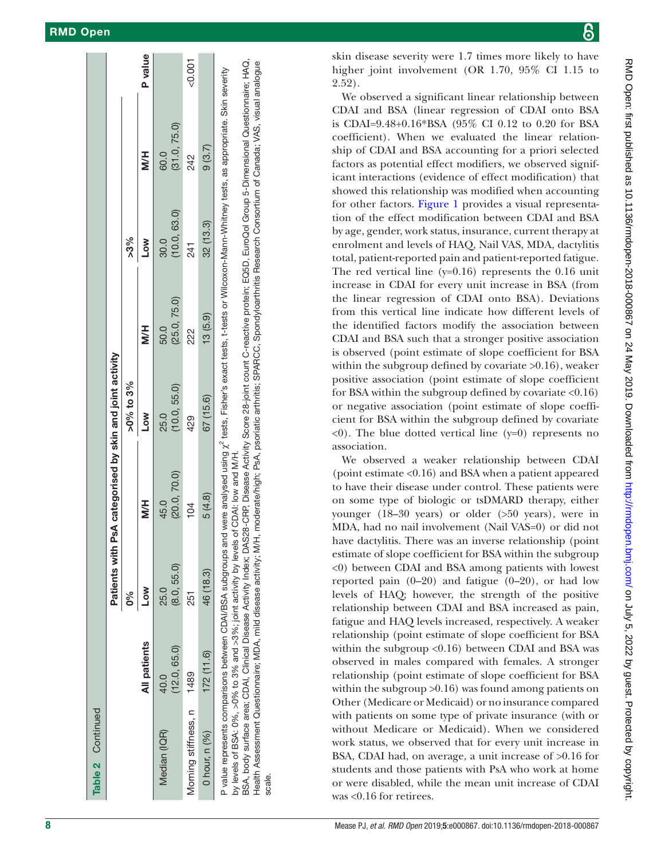| Table 2 Continued                                                                                                                                                                                                                                                                                                                                                                                                                                                                                    |                      |                     |                                                          |                      |                      |                      |                      |                |
|------------------------------------------------------------------------------------------------------------------------------------------------------------------------------------------------------------------------------------------------------------------------------------------------------------------------------------------------------------------------------------------------------------------------------------------------------------------------------------------------------|----------------------|---------------------|----------------------------------------------------------|----------------------|----------------------|----------------------|----------------------|----------------|
|                                                                                                                                                                                                                                                                                                                                                                                                                                                                                                      |                      |                     | Patients with PsA categorised by skin and joint activity |                      |                      |                      |                      |                |
|                                                                                                                                                                                                                                                                                                                                                                                                                                                                                                      |                      | ბ<br>ბ              |                                                          | $>0\%$ to 3%         |                      | $>3\%$               |                      |                |
|                                                                                                                                                                                                                                                                                                                                                                                                                                                                                                      | All patients         | ≧°⊾                 | H/H                                                      | No7                  | M/H                  | <b>NO7</b>           | N/H                  | <b>P</b> value |
| Median (IQR)                                                                                                                                                                                                                                                                                                                                                                                                                                                                                         | (12.0, 65.0)<br>40.0 | (8.0, 55.0)<br>25.0 | (20.0, 70.0)<br>45.0                                     | (10.0, 55.0)<br>25.0 | (25.0, 75.0)<br>50.0 | (10.0, 63.0)<br>30.0 | (31.0, 75.0)<br>60.0 |                |
| Morning stiffness, n                                                                                                                                                                                                                                                                                                                                                                                                                                                                                 | 1489                 | 251                 | 104                                                      | 429                  | 22                   | 241                  | 242                  | 0.001          |
| 0 hour, $n$ $(\%)$                                                                                                                                                                                                                                                                                                                                                                                                                                                                                   | 172(11.6)            | 46 (18.3)           | 5(4.8)                                                   | 67(15.6)             | 13(5.9)              | 32(13.3)             | 9(3.7)               |                |
| Discover Chaised Discover Discover DACOQ_COQ_CDD_Discover Describe that count controls interview on the Discover Discover Davis And Discover Discover Davis And Discover Discover Discover Discover Discover Discover Discover<br>P value represents comparisons between CDA//BSA subgroups and were analysed using $\chi^2$ tests, Fisher's exact tests, t-tests or Wilcoxon-Mann-Whitney tests, as appropriate. Skin severity<br>by levels of BSA: 0%, >0% to 3% and >3%; joint activity by levels |                      |                     | of CDAI: low and M/H.                                    |                      |                      |                      |                      |                |

BSA, body surface area; CDAI, Clinical Disease Activity Index; DAS28-CRP, Disease Activity Score 28-joint count C-reactive protein; EQ5D, EuroQol Group 5-Dimensional Questionnaire; HAQ, DIMENSIONE QUESTIONNER HAQ Health Assessment Questionnaire; MDA, mild disease activity; M/H, moderate/high; PsA, psoriatic arthritis; SPARCC, Spondyloarthritis Research Consortium of Canada; VAS, visual analogue Health Assessment Questionnaire; MDA, mild disease activity; M/H, moderate/high; PsA, psoriatic arthritis; SPARCC, Spondyloarthritis Research Consortium of Canada; VAS, visual analogue count C-reactive protein; EQSD, EuroQoi Giroup S-**2016/29-28-28** ACTIVITY **UHF, DISease** 529AU Index: **UISease Activity** Ullnical JAL. BSA, DOOV SUITACE AIEA: scale. 6

skin disease severity were 1.7 times more likely to have higher joint involvement (OR 1.70, 95% CI 1.15 to 2.52).

We observed a significant linear relationship between CDAI and BSA (linear regression of CDAI onto BSA is CDAI=9.48+0.16\*BSA (95% CI 0.12 to 0.20 for BSA coefficient). When we evaluated the linear relation ship of CDAI and BSA accounting for a priori selected factors as potential effect modifiers, we observed significant interactions (evidence of effect modification) that showed this relationship was modified when accounting for other factors. [Figure](#page-9-0) 1 provides a visual representation of the effect modification between CDAI and BSA by age, gender, work status, insurance, current therapy at enrolment and levels of HAQ, Nail VAS, MDA, dactylitis total, patient-reported pain and patient-reported fatigue. The red vertical line  $(y=0.16)$  represents the 0.16 unit increase in CDAI for every unit increase in BSA (from the linear regression of CDAI onto BSA). Deviations from this vertical line indicate how different levels of the identified factors modify the association between CDAI and BSA such that a stronger positive association is observed (point estimate of slope coefficient for BSA within the subgroup defined by covariate >0.16), weaker positive association (point estimate of slope coefficient for BSA within the subgroup defined by covariate  $\langle 0.16 \rangle$ or negative association (point estimate of slope coeffi cient for BSA within the subgroup defined by covariate  $(0)$ . The blue dotted vertical line  $(y=0)$  represents no association.

We observed a weaker relationship between CDAI (point estimate <0.16) and BSA when a patient appeared to have their disease under control. These patients were on some type of biologic or tsDMARD therapy, either younger (18–30 years) or older (>50 years), were in MDA, had no nail involvement (Nail VAS=0) or did not have dactylitis. There was an inverse relationship (point estimate of slope coefficient for BSA within the subgroup <0) between CDAI and BSA among patients with lowest reported pain  $(0-20)$  and fatigue  $(0-20)$ , or had low levels of HAQ; however, the strength of the positive relationship between CDAI and BSA increased as pain, fatigue and HAQ levels increased, respectively. A weaker relationship (point estimate of slope coefficient for BSA within the subgroup <0.16) between CDAI and BSA was observed in males compared with females. A stronger relationship (point estimate of slope coefficient for BSA within the subgroup >0.16) was found among patients on Other (Medicare or Medicaid) or no insurance compared with patients on some type of private insurance (with or without Medicare or Medicaid). When we considered work status, we observed that for every unit increase in BSA, CDAI had, on average, a unit increase of >0.16 for students and those patients with PsA who work at home or were disabled, while the mean unit increase of CDAI was <0.16 for retirees.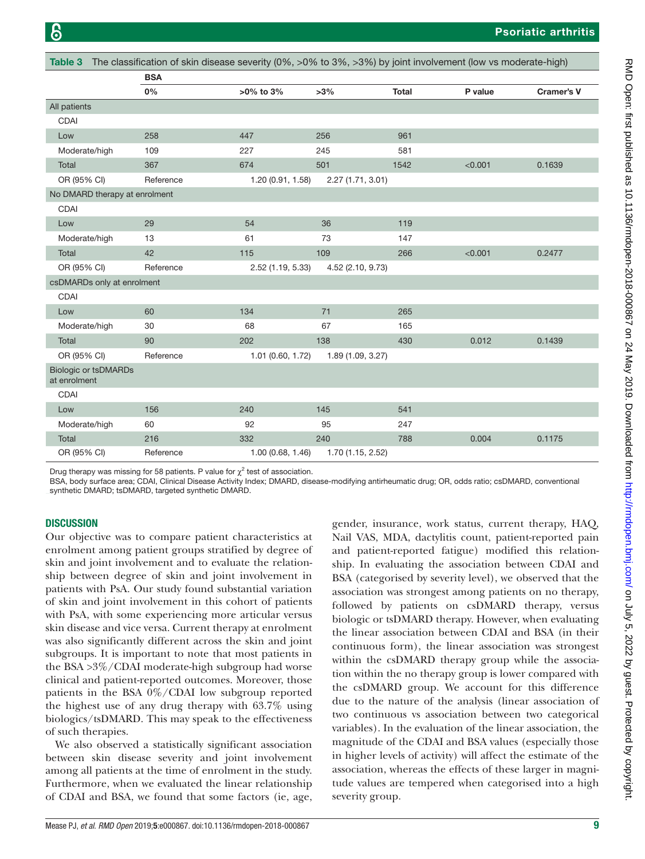<span id="page-8-0"></span>

| Table 3                                     |            | The classification of skin disease severity (0%, >0% to 3%, >3%) by joint involvement (low vs moderate-high) |                   |              |         |                   |
|---------------------------------------------|------------|--------------------------------------------------------------------------------------------------------------|-------------------|--------------|---------|-------------------|
|                                             | <b>BSA</b> |                                                                                                              |                   |              |         |                   |
|                                             | 0%         | >0% to 3%                                                                                                    | >3%               | <b>Total</b> | P value | <b>Cramer's V</b> |
| All patients                                |            |                                                                                                              |                   |              |         |                   |
| <b>CDAI</b>                                 |            |                                                                                                              |                   |              |         |                   |
| Low                                         | 258        | 447                                                                                                          | 256               | 961          |         |                   |
| Moderate/high                               | 109        | 227                                                                                                          | 245               | 581          |         |                   |
| Total                                       | 367        | 674                                                                                                          | 501               | 1542         | < 0.001 | 0.1639            |
| OR (95% CI)                                 | Reference  | 1.20(0.91, 1.58)                                                                                             | 2.27(1.71, 3.01)  |              |         |                   |
| No DMARD therapy at enrolment               |            |                                                                                                              |                   |              |         |                   |
| <b>CDAI</b>                                 |            |                                                                                                              |                   |              |         |                   |
| Low                                         | 29         | 54                                                                                                           | 36                | 119          |         |                   |
| Moderate/high                               | 13         | 61                                                                                                           | 73                | 147          |         |                   |
| Total                                       | 42         | 115                                                                                                          | 109               | 266          | < 0.001 | 0.2477            |
| OR (95% CI)                                 | Reference  | 2.52 (1.19, 5.33)                                                                                            | 4.52 (2.10, 9.73) |              |         |                   |
| csDMARDs only at enrolment                  |            |                                                                                                              |                   |              |         |                   |
| <b>CDAI</b>                                 |            |                                                                                                              |                   |              |         |                   |
| Low                                         | 60         | 134                                                                                                          | 71                | 265          |         |                   |
| Moderate/high                               | 30         | 68                                                                                                           | 67                | 165          |         |                   |
| Total                                       | 90         | 202                                                                                                          | 138               | 430          | 0.012   | 0.1439            |
| OR (95% CI)                                 | Reference  | $1.01$ (0.60, 1.72)                                                                                          | 1.89 (1.09, 3.27) |              |         |                   |
| <b>Biologic or tsDMARDs</b><br>at enrolment |            |                                                                                                              |                   |              |         |                   |
| <b>CDAI</b>                                 |            |                                                                                                              |                   |              |         |                   |
| Low                                         | 156        | 240                                                                                                          | 145               | 541          |         |                   |
| Moderate/high                               | 60         | 92                                                                                                           | 95                | 247          |         |                   |
| Total                                       | 216        | 332                                                                                                          | 240               | 788          | 0.004   | 0.1175            |
| OR (95% CI)                                 | Reference  | 1.00 (0.68, 1.46)                                                                                            | 1.70 (1.15, 2.52) |              |         |                   |

Drug therapy was missing for 58 patients. P value for  $\chi^2$  test of association.

BSA, body surface area; CDAI, Clinical Disease Activity Index; DMARD, disease-modifying antirheumatic drug; OR, odds ratio; csDMARD, conventional synthetic DMARD; tsDMARD, targeted synthetic DMARD.

#### **DISCUSSION**

Our objective was to compare patient characteristics at enrolment among patient groups stratified by degree of skin and joint involvement and to evaluate the relationship between degree of skin and joint involvement in patients with PsA. Our study found substantial variation of skin and joint involvement in this cohort of patients with PsA, with some experiencing more articular versus skin disease and vice versa. Current therapy at enrolment was also significantly different across the skin and joint subgroups. It is important to note that most patients in the BSA >3%/CDAI moderate-high subgroup had worse clinical and patient-reported outcomes. Moreover, those patients in the BSA 0%/CDAI low subgroup reported the highest use of any drug therapy with 63.7% using biologics/tsDMARD. This may speak to the effectiveness of such therapies.

We also observed a statistically significant association between skin disease severity and joint involvement among all patients at the time of enrolment in the study. Furthermore, when we evaluated the linear relationship of CDAI and BSA, we found that some factors (ie, age,

gender, insurance, work status, current therapy, HAQ, Nail VAS, MDA, dactylitis count, patient-reported pain and patient-reported fatigue) modified this relationship. In evaluating the association between CDAI and BSA (categorised by severity level), we observed that the association was strongest among patients on no therapy, followed by patients on csDMARD therapy, versus biologic or tsDMARD therapy. However, when evaluating the linear association between CDAI and BSA (in their continuous form), the linear association was strongest within the csDMARD therapy group while the association within the no therapy group is lower compared with the csDMARD group. We account for this difference due to the nature of the analysis (linear association of two continuous vs association between two categorical variables). In the evaluation of the linear association, the magnitude of the CDAI and BSA values (especially those in higher levels of activity) will affect the estimate of the association, whereas the effects of these larger in magnitude values are tempered when categorised into a high severity group.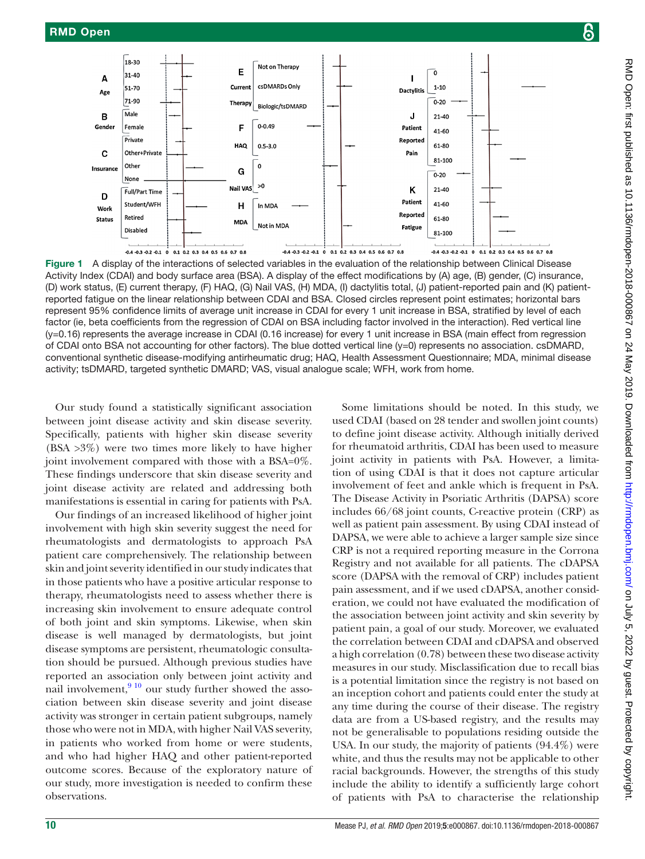$\sqrt{18-30}$ 

31-40

51-70

71-90

Male

Female

Private

Other

None

Retired

Disabled

Other+Private

Full/Part Time

Student/WFH

<span id="page-9-0"></span> $-0.4 -0.3 -0.2 -0.1 = 0$ 

Δ

Age

B

Gender

 $\mathbf c$ 

Insurance

D

Work

Status



 $\overline{\Omega}$ 

 $1-10$ 

-<br>Not on Therapy

csDMARDs Only

Ė

Current

Our study found a statistically significant association between joint disease activity and skin disease severity. Specifically, patients with higher skin disease severity (BSA >3%) were two times more likely to have higher joint involvement compared with those with a BSA=0%. These findings underscore that skin disease severity and joint disease activity are related and addressing both manifestations is essential in caring for patients with PsA.

Our findings of an increased likelihood of higher joint involvement with high skin severity suggest the need for rheumatologists and dermatologists to approach PsA patient care comprehensively. The relationship between skin and joint severity identified in our study indicates that in those patients who have a positive articular response to therapy, rheumatologists need to assess whether there is increasing skin involvement to ensure adequate control of both joint and skin symptoms. Likewise, when skin disease is well managed by dermatologists, but joint disease symptoms are persistent, rheumatologic consultation should be pursued. Although previous studies have reported an association only between joint activity and nail involvement, $910$  our study further showed the association between skin disease severity and joint disease activity was stronger in certain patient subgroups, namely those who were not in MDA, with higher Nail VAS severity, in patients who worked from home or were students, and who had higher HAQ and other patient-reported outcome scores. Because of the exploratory nature of our study, more investigation is needed to confirm these observations.

Some limitations should be noted. In this study, we used CDAI (based on 28 tender and swollen joint counts) to define joint disease activity. Although initially derived for rheumatoid arthritis, CDAI has been used to measure joint activity in patients with PsA. However, a limitation of using CDAI is that it does not capture articular involvement of feet and ankle which is frequent in PsA. The Disease Activity in Psoriatic Arthritis (DAPSA) score includes 66/68 joint counts, C-reactive protein (CRP) as well as patient pain assessment. By using CDAI instead of DAPSA, we were able to achieve a larger sample size since CRP is not a required reporting measure in the Corrona Registry and not available for all patients. The cDAPSA score (DAPSA with the removal of CRP) includes patient pain assessment, and if we used cDAPSA, another consideration, we could not have evaluated the modification of the association between joint activity and skin severity by patient pain, a goal of our study. Moreover, we evaluated the correlation between CDAI and cDAPSA and observed a high correlation (0.78) between these two disease activity measures in our study. Misclassification due to recall bias is a potential limitation since the registry is not based on an inception cohort and patients could enter the study at any time during the course of their disease. The registry data are from a US-based registry, and the results may not be generalisable to populations residing outside the USA. In our study, the majority of patients (94.4%) were white, and thus the results may not be applicable to other racial backgrounds. However, the strengths of this study include the ability to identify a sufficiently large cohort of patients with PsA to characterise the relationship